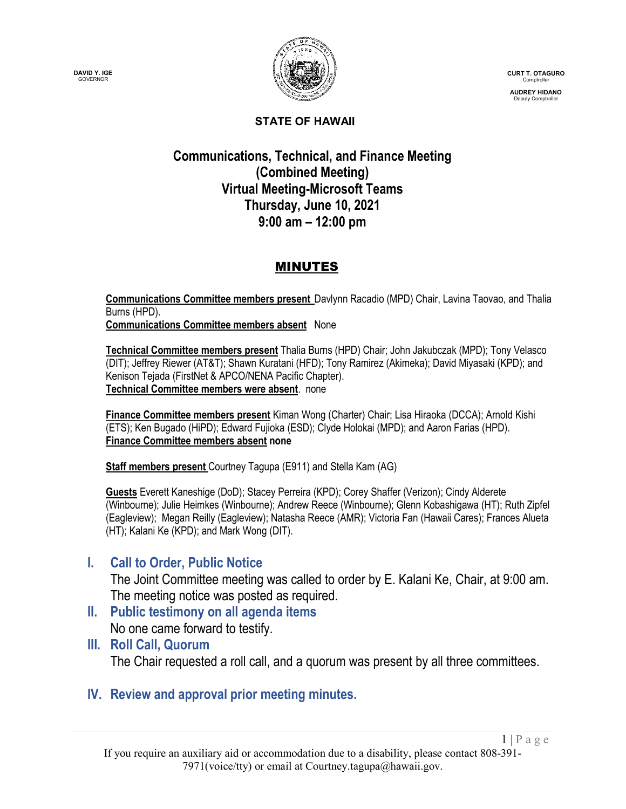



**CURT T. OTAGURO** Comptroller

**AUDREY HIDANO** Deputy Comptroller

#### **STATE OF HAWAII**

# **Communications, Technical, and Finance Meeting (Combined Meeting) Virtual Meeting-Microsoft Teams Thursday, June 10, 2021 9:00 am – 12:00 pm**

### MINUTES

**Communications Committee members present** Davlynn Racadio (MPD) Chair, Lavina Taovao, and Thalia Burns (HPD). **Communications Committee members absent** None

**Technical Committee members present** Thalia Burns (HPD) Chair; John Jakubczak (MPD); Tony Velasco (DIT); Jeffrey Riewer (AT&T); Shawn Kuratani (HFD); Tony Ramirez (Akimeka); David Miyasaki (KPD); and Kenison Tejada (FirstNet & APCO/NENA Pacific Chapter). **Technical Committee members were absent**. none

**Finance Committee members present** Kiman Wong (Charter) Chair; Lisa Hiraoka (DCCA); Arnold Kishi (ETS); Ken Bugado (HiPD); Edward Fujioka (ESD); Clyde Holokai (MPD); and Aaron Farias (HPD). **Finance Committee members absent none**

**Staff members present** Courtney Tagupa (E911) and Stella Kam (AG)

**Guests** Everett Kaneshige (DoD); Stacey Perreira (KPD); Corey Shaffer (Verizon); Cindy Alderete (Winbourne); Julie Heimkes (Winbourne); Andrew Reece (Winbourne); Glenn Kobashigawa (HT); Ruth Zipfel (Eagleview); Megan Reilly (Eagleview); Natasha Reece (AMR); Victoria Fan (Hawaii Cares); Frances Alueta (HT); Kalani Ke (KPD); and Mark Wong (DIT).

## **I. Call to Order, Public Notice**

The Joint Committee meeting was called to order by E. Kalani Ke, Chair, at 9:00 am. The meeting notice was posted as required.

**II. Public testimony on all agenda items**

No one came forward to testify.

**III. Roll Call, Quorum** The Chair requested a roll call, and a quorum was present by all three committees.

**IV. Review and approval prior meeting minutes.**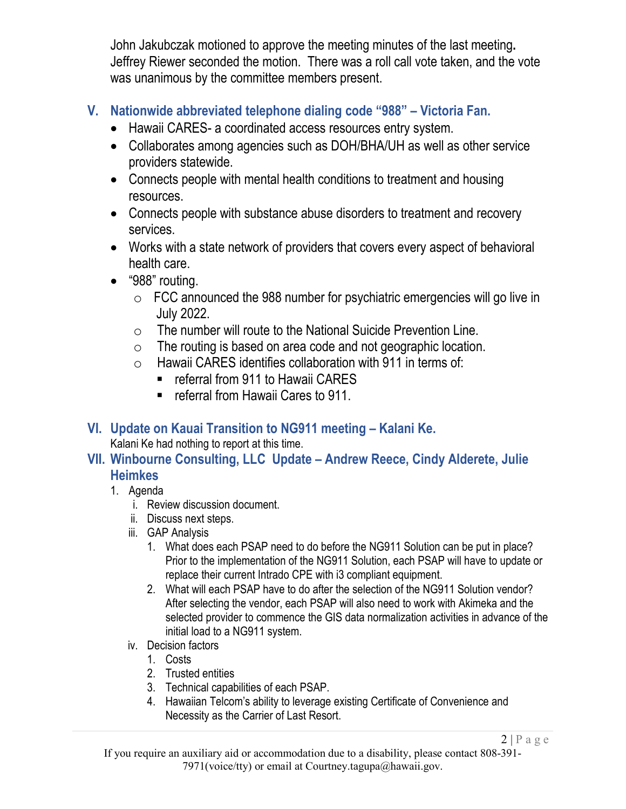John Jakubczak motioned to approve the meeting minutes of the last meeting**.** Jeffrey Riewer seconded the motion. There was a roll call vote taken, and the vote was unanimous by the committee members present.

# **V. Nationwide abbreviated telephone dialing code "988" – Victoria Fan.**

- Hawaii CARES- a coordinated access resources entry system.
- Collaborates among agencies such as DOH/BHA/UH as well as other service providers statewide.
- Connects people with mental health conditions to treatment and housing resources.
- Connects people with substance abuse disorders to treatment and recovery services.
- Works with a state network of providers that covers every aspect of behavioral health care.
- "988" routing.
	- o FCC announced the 988 number for psychiatric emergencies will go live in July 2022.
	- $\circ$  The number will route to the National Suicide Prevention Line.
	- o The routing is based on area code and not geographic location.
	- $\circ$  Hawaii CARES identifies collaboration with 911 in terms of:
		- **F** referral from 911 to Hawaii CARES
		- referral from Hawaii Cares to 911.
- **VI. Update on Kauai Transition to NG911 meeting – Kalani Ke.**

Kalani Ke had nothing to report at this time.

# **VII. Winbourne Consulting, LLC Update – Andrew Reece, Cindy Alderete, Julie Heimkes**

- 1. Agenda
	- i. Review discussion document.
	- ii. Discuss next steps.
	- iii. GAP Analysis
		- 1. What does each PSAP need to do before the NG911 Solution can be put in place? Prior to the implementation of the NG911 Solution, each PSAP will have to update or replace their current Intrado CPE with i3 compliant equipment.
		- 2. What will each PSAP have to do after the selection of the NG911 Solution vendor? After selecting the vendor, each PSAP will also need to work with Akimeka and the selected provider to commence the GIS data normalization activities in advance of the initial load to a NG911 system.
	- iv. Decision factors
		- 1. Costs
		- 2. Trusted entities
		- 3. Technical capabilities of each PSAP.
		- 4. Hawaiian Telcom's ability to leverage existing Certificate of Convenience and Necessity as the Carrier of Last Resort.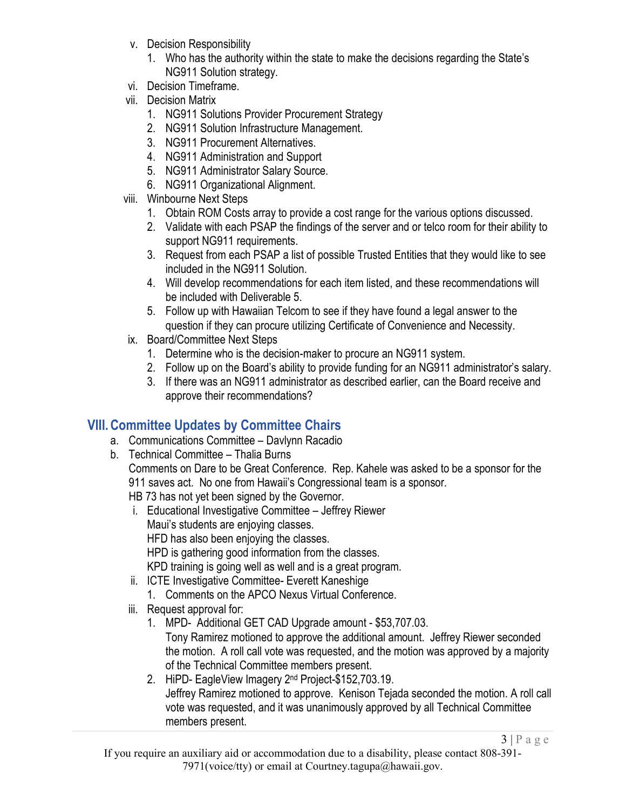- v. Decision Responsibility
	- 1. Who has the authority within the state to make the decisions regarding the State's NG911 Solution strategy.
- vi. Decision Timeframe.
- vii. Decision Matrix
	- 1. NG911 Solutions Provider Procurement Strategy
	- 2. NG911 Solution Infrastructure Management.
	- 3. NG911 Procurement Alternatives.
	- 4. NG911 Administration and Support
	- 5. NG911 Administrator Salary Source.
	- 6. NG911 Organizational Alignment.
- viii. Winbourne Next Steps
	- 1. Obtain ROM Costs array to provide a cost range for the various options discussed.
	- 2. Validate with each PSAP the findings of the server and or telco room for their ability to support NG911 requirements.
	- 3. Request from each PSAP a list of possible Trusted Entities that they would like to see included in the NG911 Solution.
	- 4. Will develop recommendations for each item listed, and these recommendations will be included with Deliverable 5.
	- 5. Follow up with Hawaiian Telcom to see if they have found a legal answer to the question if they can procure utilizing Certificate of Convenience and Necessity.
- ix. Board/Committee Next Steps
	- 1. Determine who is the decision-maker to procure an NG911 system.
	- 2. Follow up on the Board's ability to provide funding for an NG911 administrator's salary.
	- 3. If there was an NG911 administrator as described earlier, can the Board receive and approve their recommendations?

# **VIII.Committee Updates by Committee Chairs**

- a. Communications Committee Davlynn Racadio
- b. Technical Committee Thalia Burns

Comments on Dare to be Great Conference. Rep. Kahele was asked to be a sponsor for the 911 saves act. No one from Hawaii's Congressional team is a sponsor.

- HB 73 has not yet been signed by the Governor.
- i. Educational Investigative Committee Jeffrey Riewer Maui's students are enjoying classes. HFD has also been enjoying the classes. HPD is gathering good information from the classes. KPD training is going well as well and is a great program.
- ii. ICTE Investigative Committee- Everett Kaneshige
	- 1. Comments on the APCO Nexus Virtual Conference.
- iii. Request approval for:
	- 1. MPD- Additional GET CAD Upgrade amount \$53,707.03.

Tony Ramirez motioned to approve the additional amount. Jeffrey Riewer seconded the motion. A roll call vote was requested, and the motion was approved by a majority of the Technical Committee members present.

2. HiPD- EagleView Imagery 2nd Project-\$152,703.19. Jeffrey Ramirez motioned to approve. Kenison Tejada seconded the motion. A roll call vote was requested, and it was unanimously approved by all Technical Committee members present.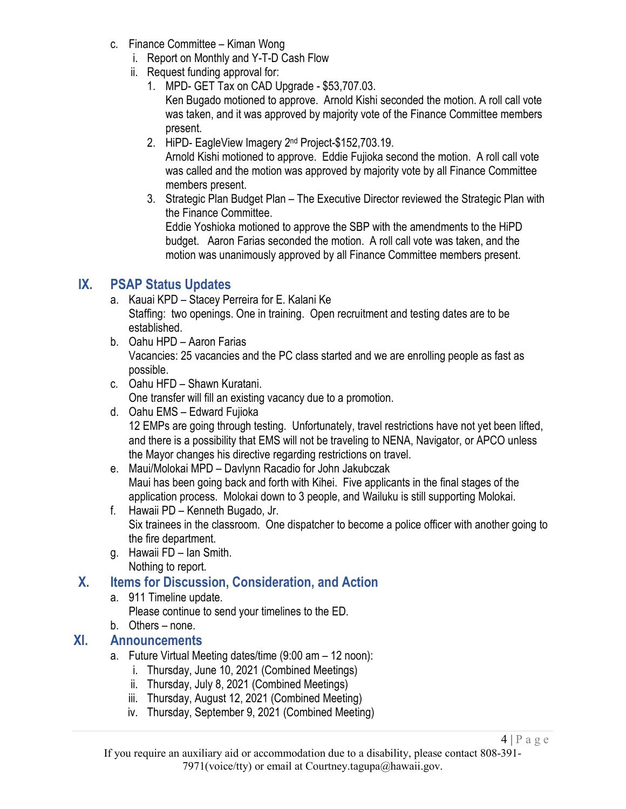- c. Finance Committee Kiman Wong
	- i. Report on Monthly and Y-T-D Cash Flow
	- ii. Request funding approval for:
		- 1. MPD- GET Tax on CAD Upgrade \$53,707.03. Ken Bugado motioned to approve. Arnold Kishi seconded the motion. A roll call vote was taken, and it was approved by majority vote of the Finance Committee members present.
		- 2. HiPD- EagleView Imagery 2nd Project-\$152,703.19. Arnold Kishi motioned to approve. Eddie Fujioka second the motion. A roll call vote was called and the motion was approved by majority vote by all Finance Committee members present.
		- 3. Strategic Plan Budget Plan The Executive Director reviewed the Strategic Plan with the Finance Committee. Eddie Yoshioka motioned to approve the SBP with the amendments to the HiPD budget. Aaron Farias seconded the motion. A roll call vote was taken, and the motion was unanimously approved by all Finance Committee members present.

### **IX. PSAP Status Updates**

- a. Kauai KPD Stacey Perreira for E. Kalani Ke Staffing: two openings. One in training. Open recruitment and testing dates are to be established.
- b. Oahu HPD Aaron Farias Vacancies: 25 vacancies and the PC class started and we are enrolling people as fast as possible.
- c. Oahu HFD Shawn Kuratani. One transfer will fill an existing vacancy due to a promotion.
- d. Oahu EMS Edward Fujioka 12 EMPs are going through testing. Unfortunately, travel restrictions have not yet been lifted, and there is a possibility that EMS will not be traveling to NENA, Navigator, or APCO unless the Mayor changes his directive regarding restrictions on travel.
- e. Maui/Molokai MPD Davlynn Racadio for John Jakubczak Maui has been going back and forth with Kihei. Five applicants in the final stages of the application process. Molokai down to 3 people, and Wailuku is still supporting Molokai.
- f. Hawaii PD Kenneth Bugado, Jr. Six trainees in the classroom. One dispatcher to become a police officer with another going to the fire department.
- g. Hawaii FD Ian Smith. Nothing to report.

## **X. Items for Discussion, Consideration, and Action**

- a. 911 Timeline update.
	- Please continue to send your timelines to the ED.
- b. Others none.

### **XI. Announcements**

- a. Future Virtual Meeting dates/time (9:00 am 12 noon):
	- i. Thursday, June 10, 2021 (Combined Meetings)
	- ii. Thursday, July 8, 2021 (Combined Meetings)
	- iii. Thursday, August 12, 2021 (Combined Meeting)
	- iv. Thursday, September 9, 2021 (Combined Meeting)